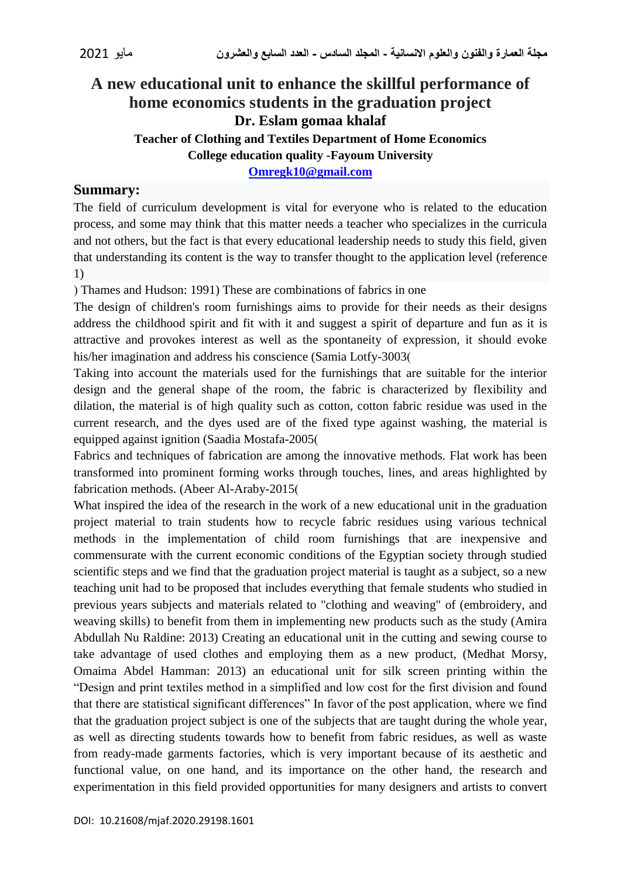# **A new educational unit to enhance the skillful performance of home economics students in the graduation project Dr. Eslam gomaa khalaf Teacher of Clothing and Textiles Department of Home Economics College education quality -Fayoum University**

**[Omregk10@gmail.com](mailto:Omregk10@gmail.com)**

### **Summary:**

The field of curriculum development is vital for everyone who is related to the education process, and some may think that this matter needs a teacher who specializes in the curricula and not others, but the fact is that every educational leadership needs to study this field, given that understanding its content is the way to transfer thought to the application level (reference 1)

) Thames and Hudson: 1991) These are combinations of fabrics in one

The design of children's room furnishings aims to provide for their needs as their designs address the childhood spirit and fit with it and suggest a spirit of departure and fun as it is attractive and provokes interest as well as the spontaneity of expression, it should evoke his/her imagination and address his conscience (Samia Lotfy-3003)

Taking into account the materials used for the furnishings that are suitable for the interior design and the general shape of the room, the fabric is characterized by flexibility and dilation, the material is of high quality such as cotton, cotton fabric residue was used in the current research, and the dyes used are of the fixed type against washing, the material is equipped against ignition (Saadia Mostafa-2005)

Fabrics and techniques of fabrication are among the innovative methods. Flat work has been transformed into prominent forming works through touches, lines, and areas highlighted by fabrication methods. (Abeer Al-Araby-2015)

What inspired the idea of the research in the work of a new educational unit in the graduation project material to train students how to recycle fabric residues using various technical methods in the implementation of child room furnishings that are inexpensive and commensurate with the current economic conditions of the Egyptian society through studied scientific steps and we find that the graduation project material is taught as a subject, so a new teaching unit had to be proposed that includes everything that female students who studied in previous years subjects and materials related to "clothing and weaving" of (embroidery, and weaving skills) to benefit from them in implementing new products such as the study (Amira Abdullah Nu Raldine: 2013) Creating an educational unit in the cutting and sewing course to take advantage of used clothes and employing them as a new product, (Medhat Morsy, Omaima Abdel Hamman: 2013) an educational unit for silk screen printing within the "Design and print textiles method in a simplified and low cost for the first division and found that there are statistical significant differences" In favor of the post application, where we find that the graduation project subject is one of the subjects that are taught during the whole year, as well as directing students towards how to benefit from fabric residues, as well as waste from ready-made garments factories, which is very important because of its aesthetic and functional value, on one hand, and its importance on the other hand, the research and experimentation in this field provided opportunities for many designers and artists to convert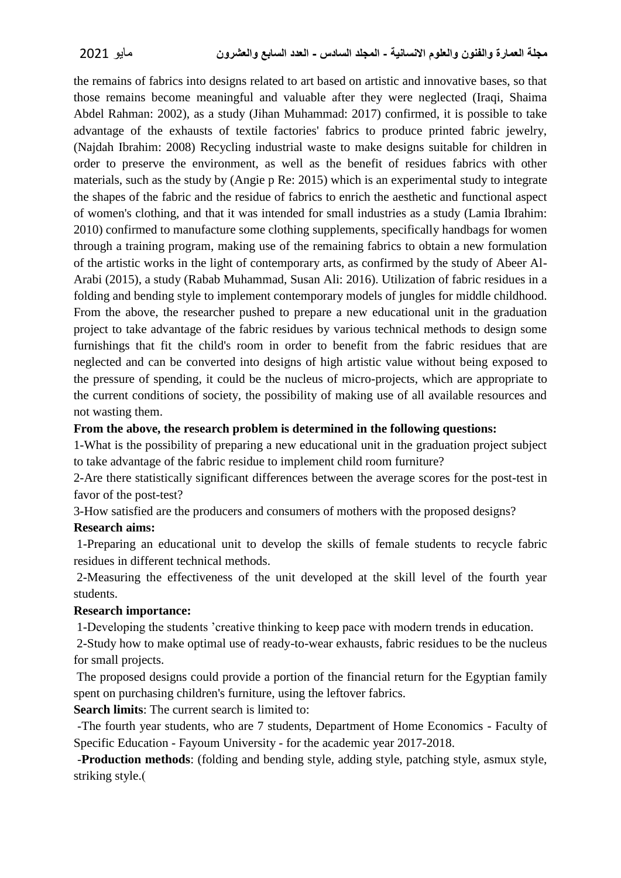the remains of fabrics into designs related to art based on artistic and innovative bases, so that those remains become meaningful and valuable after they were neglected (Iraqi, Shaima Abdel Rahman: 2002), as a study (Jihan Muhammad: 2017) confirmed, it is possible to take advantage of the exhausts of textile factories' fabrics to produce printed fabric jewelry, (Najdah Ibrahim: 2008) Recycling industrial waste to make designs suitable for children in order to preserve the environment, as well as the benefit of residues fabrics with other materials, such as the study by (Angie p Re: 2015) which is an experimental study to integrate the shapes of the fabric and the residue of fabrics to enrich the aesthetic and functional aspect of women's clothing, and that it was intended for small industries as a study (Lamia Ibrahim: 2010) confirmed to manufacture some clothing supplements, specifically handbags for women through a training program, making use of the remaining fabrics to obtain a new formulation of the artistic works in the light of contemporary arts, as confirmed by the study of Abeer Al-Arabi (2015), a study (Rabab Muhammad, Susan Ali: 2016). Utilization of fabric residues in a folding and bending style to implement contemporary models of jungles for middle childhood. From the above, the researcher pushed to prepare a new educational unit in the graduation project to take advantage of the fabric residues by various technical methods to design some furnishings that fit the child's room in order to benefit from the fabric residues that are neglected and can be converted into designs of high artistic value without being exposed to the pressure of spending, it could be the nucleus of micro-projects, which are appropriate to the current conditions of society, the possibility of making use of all available resources and not wasting them.

#### **From the above, the research problem is determined in the following questions:**

1-What is the possibility of preparing a new educational unit in the graduation project subject to take advantage of the fabric residue to implement child room furniture?

2-Are there statistically significant differences between the average scores for the post-test in favor of the post-test?

3-How satisfied are the producers and consumers of mothers with the proposed designs?

#### **Research aims:**

1-Preparing an educational unit to develop the skills of female students to recycle fabric residues in different technical methods.

2-Measuring the effectiveness of the unit developed at the skill level of the fourth year students.

#### **Research importance:**

1-Developing the students 'creative thinking to keep pace with modern trends in education.

2-Study how to make optimal use of ready-to-wear exhausts, fabric residues to be the nucleus for small projects.

The proposed designs could provide a portion of the financial return for the Egyptian family spent on purchasing children's furniture, using the leftover fabrics.

**Search limits**: The current search is limited to:

-The fourth year students, who are 7 students, Department of Home Economics - Faculty of Specific Education - Fayoum University - for the academic year 2017-2018.

-**Production methods**: (folding and bending style, adding style, patching style, asmux style, striking style.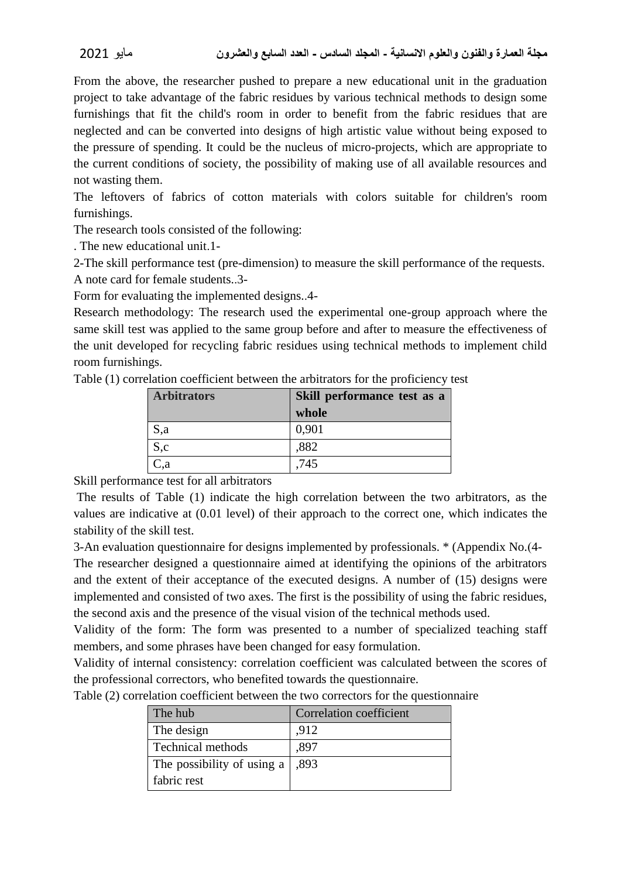From the above, the researcher pushed to prepare a new educational unit in the graduation project to take advantage of the fabric residues by various technical methods to design some furnishings that fit the child's room in order to benefit from the fabric residues that are neglected and can be converted into designs of high artistic value without being exposed to the pressure of spending. It could be the nucleus of micro-projects, which are appropriate to the current conditions of society, the possibility of making use of all available resources and not wasting them.

The leftovers of fabrics of cotton materials with colors suitable for children's room furnishings.

The research tools consisted of the following:

. The new educational unit.1-

2-The skill performance test (pre-dimension) to measure the skill performance of the requests.

A note card for female students..3-

Form for evaluating the implemented designs..4-

Research methodology: The research used the experimental one-group approach where the same skill test was applied to the same group before and after to measure the effectiveness of the unit developed for recycling fabric residues using technical methods to implement child room furnishings.

Table (1) correlation coefficient between the arbitrators for the proficiency test

| <b>Arbitrators</b> | Skill performance test as a |  |
|--------------------|-----------------------------|--|
|                    | whole                       |  |
| S,a                | 0,901                       |  |
| S,c                | ,882                        |  |
| C,a                | .745                        |  |

Skill performance test for all arbitrators

The results of Table (1) indicate the high correlation between the two arbitrators, as the values are indicative at (0.01 level) of their approach to the correct one, which indicates the stability of the skill test.

3-An evaluation questionnaire for designs implemented by professionals. \* (Appendix No.)4-

The researcher designed a questionnaire aimed at identifying the opinions of the arbitrators and the extent of their acceptance of the executed designs. A number of (15) designs were implemented and consisted of two axes. The first is the possibility of using the fabric residues, the second axis and the presence of the visual vision of the technical methods used.

Validity of the form: The form was presented to a number of specialized teaching staff members, and some phrases have been changed for easy formulation.

Validity of internal consistency: correlation coefficient was calculated between the scores of the professional correctors, who benefited towards the questionnaire.

| on changin cochilerent occur cent and cuid concerto for the questions. |                         |  |  |  |
|------------------------------------------------------------------------|-------------------------|--|--|--|
| The hub                                                                | Correlation coefficient |  |  |  |
| The design                                                             | .912                    |  |  |  |
| Technical methods                                                      | .897                    |  |  |  |
| The possibility of using a                                             | .893                    |  |  |  |
| fabric rest                                                            |                         |  |  |  |

Table (2) correlation coefficient between the two correctors for the questionnaire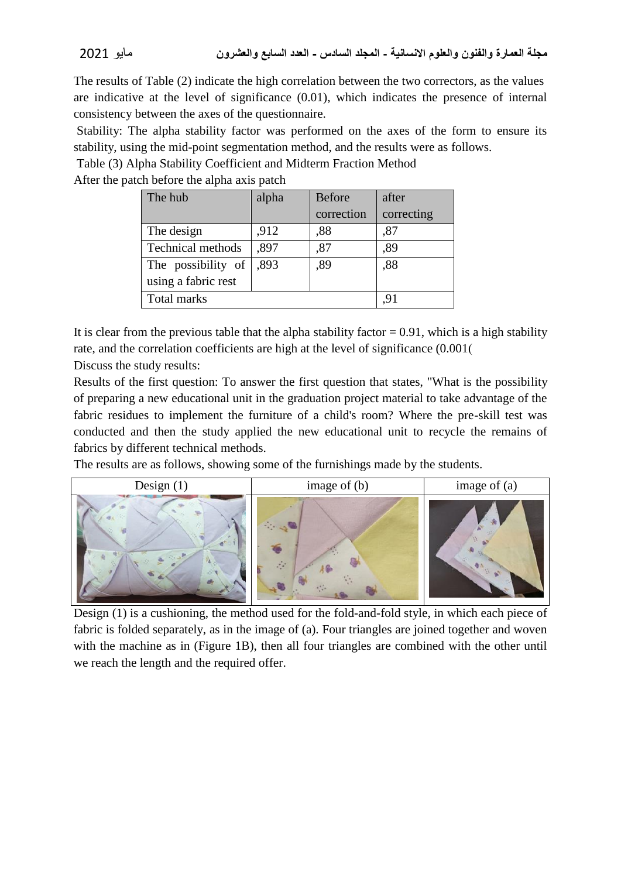The results of Table (2) indicate the high correlation between the two correctors, as the values are indicative at the level of significance (0.01), which indicates the presence of internal consistency between the axes of the questionnaire.

Stability: The alpha stability factor was performed on the axes of the form to ensure its stability, using the mid-point segmentation method, and the results were as follows.

Table (3) Alpha Stability Coefficient and Midterm Fraction Method

After the patch before the alpha axis patch

| The hub                  | alpha | <b>Before</b> | after      |
|--------------------------|-------|---------------|------------|
|                          |       | correction    | correcting |
| The design               | ,912  | .88           | ,87        |
| <b>Technical methods</b> | ,897  | ,87           | ,89        |
| The possibility of       | ,893  | ,89           | ,88        |
| using a fabric rest      |       |               |            |
| Total marks              |       |               |            |

It is clear from the previous table that the alpha stability factor  $= 0.91$ , which is a high stability rate, and the correlation coefficients are high at the level of significance (0.001) Discuss the study results:

Results of the first question: To answer the first question that states, "What is the possibility of preparing a new educational unit in the graduation project material to take advantage of the fabric residues to implement the furniture of a child's room? Where the pre-skill test was conducted and then the study applied the new educational unit to recycle the remains of fabrics by different technical methods.

The results are as follows, showing some of the furnishings made by the students.



Design (1) is a cushioning, the method used for the fold-and-fold style, in which each piece of fabric is folded separately, as in the image of (a). Four triangles are joined together and woven with the machine as in (Figure 1B), then all four triangles are combined with the other until we reach the length and the required offer.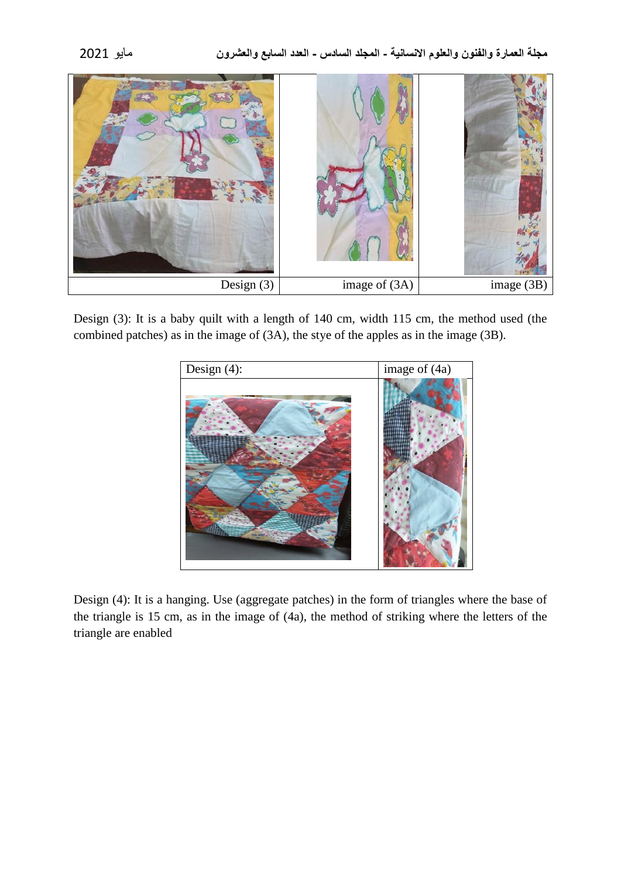

Design (3): It is a baby quilt with a length of 140 cm, width 115 cm, the method used (the combined patches) as in the image of (3A), the stye of the apples as in the image (3B).



Design (4): It is a hanging. Use (aggregate patches) in the form of triangles where the base of the triangle is 15 cm, as in the image of (4a), the method of striking where the letters of the triangle are enabled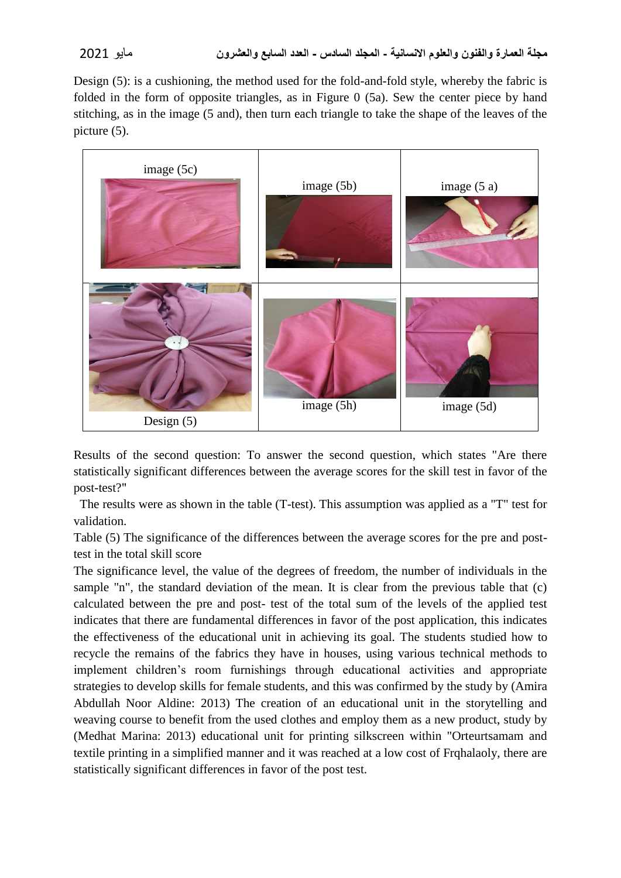Design (5): is a cushioning, the method used for the fold-and-fold style, whereby the fabric is folded in the form of opposite triangles, as in Figure 0 (5a). Sew the center piece by hand stitching, as in the image (5 and), then turn each triangle to take the shape of the leaves of the picture (5).



Results of the second question: To answer the second question, which states "Are there statistically significant differences between the average scores for the skill test in favor of the post-test?"

The results were as shown in the table (T-test). This assumption was applied as a "T" test for validation.

Table (5) The significance of the differences between the average scores for the pre and posttest in the total skill score

The significance level, the value of the degrees of freedom, the number of individuals in the sample "n", the standard deviation of the mean. It is clear from the previous table that (c) calculated between the pre and post- test of the total sum of the levels of the applied test indicates that there are fundamental differences in favor of the post application, this indicates the effectiveness of the educational unit in achieving its goal. The students studied how to recycle the remains of the fabrics they have in houses, using various technical methods to implement children's room furnishings through educational activities and appropriate strategies to develop skills for female students, and this was confirmed by the study by (Amira Abdullah Noor Aldine: 2013) The creation of an educational unit in the storytelling and weaving course to benefit from the used clothes and employ them as a new product, study by (Medhat Marina: 2013) educational unit for printing silkscreen within "Orteurtsamam and textile printing in a simplified manner and it was reached at a low cost of Frqhalaoly, there are statistically significant differences in favor of the post test.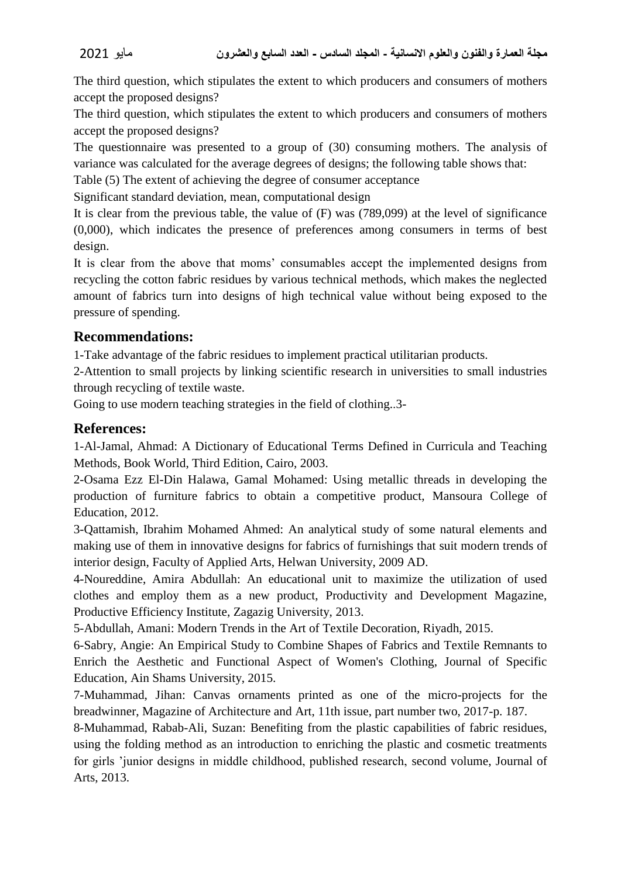The third question, which stipulates the extent to which producers and consumers of mothers accept the proposed designs?

The third question, which stipulates the extent to which producers and consumers of mothers accept the proposed designs?

The questionnaire was presented to a group of (30) consuming mothers. The analysis of variance was calculated for the average degrees of designs; the following table shows that:

Table (5) The extent of achieving the degree of consumer acceptance

Significant standard deviation, mean, computational design

It is clear from the previous table, the value of (F) was (789,099) at the level of significance (0,000), which indicates the presence of preferences among consumers in terms of best design.

It is clear from the above that moms' consumables accept the implemented designs from recycling the cotton fabric residues by various technical methods, which makes the neglected amount of fabrics turn into designs of high technical value without being exposed to the pressure of spending.

## **Recommendations:**

1-Take advantage of the fabric residues to implement practical utilitarian products.

2-Attention to small projects by linking scientific research in universities to small industries through recycling of textile waste.

Going to use modern teaching strategies in the field of clothing..3-

# **References:**

1-Al-Jamal, Ahmad: A Dictionary of Educational Terms Defined in Curricula and Teaching Methods, Book World, Third Edition, Cairo, 2003.

2-Osama Ezz El-Din Halawa, Gamal Mohamed: Using metallic threads in developing the production of furniture fabrics to obtain a competitive product, Mansoura College of Education, 2012.

3-Qattamish, Ibrahim Mohamed Ahmed: An analytical study of some natural elements and making use of them in innovative designs for fabrics of furnishings that suit modern trends of interior design, Faculty of Applied Arts, Helwan University, 2009 AD.

4-Noureddine, Amira Abdullah: An educational unit to maximize the utilization of used clothes and employ them as a new product, Productivity and Development Magazine, Productive Efficiency Institute, Zagazig University, 2013.

5-Abdullah, Amani: Modern Trends in the Art of Textile Decoration, Riyadh, 2015.

6-Sabry, Angie: An Empirical Study to Combine Shapes of Fabrics and Textile Remnants to Enrich the Aesthetic and Functional Aspect of Women's Clothing, Journal of Specific Education, Ain Shams University, 2015.

7-Muhammad, Jihan: Canvas ornaments printed as one of the micro-projects for the breadwinner, Magazine of Architecture and Art, 11th issue, part number two, 2017-p. 187.

8-Muhammad, Rabab-Ali, Suzan: Benefiting from the plastic capabilities of fabric residues, using the folding method as an introduction to enriching the plastic and cosmetic treatments for girls 'junior designs in middle childhood, published research, second volume, Journal of Arts, 2013.